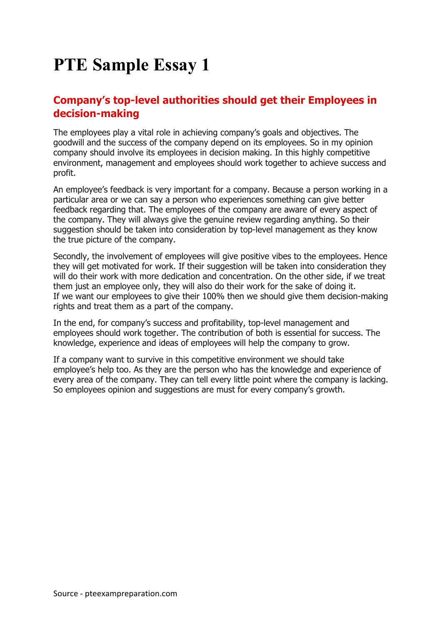## **PTE Sample Essay 1**

## **Company's top-level authorities should get their Employees in decision-making**

The employees play a vital role in achieving company's goals and objectives. The goodwill and the success of the company depend on its employees. So in my opinion company should involve its employees in decision making. In this highly competitive environment, management and employees should work together to achieve success and profit.

An employee's feedback is very important for a company. Because a person working in a particular area or we can say a person who experiences something can give better feedback regarding that. The employees of the company are aware of every aspect of the company. They will always give the genuine review regarding anything. So their suggestion should be taken into consideration by top-level management as they know the true picture of the company.

Secondly, the involvement of employees will give positive vibes to the employees. Hence they will get motivated for work. If their suggestion will be taken into consideration they will do their work with more dedication and concentration. On the other side, if we treat them just an employee only, they will also do their work for the sake of doing it. If we want our employees to give their 100% then we should give them decision-making rights and treat them as a part of the company.

In the end, for company's success and profitability, top-level management and employees should work together. The contribution of both is essential for success. The knowledge, experience and ideas of employees will help the company to grow.

If a company want to survive in this competitive environment we should take employee's help too. As they are the person who has the knowledge and experience of every area of the company. They can tell every little point where the company is lacking. So employees opinion and suggestions are must for every company's growth.